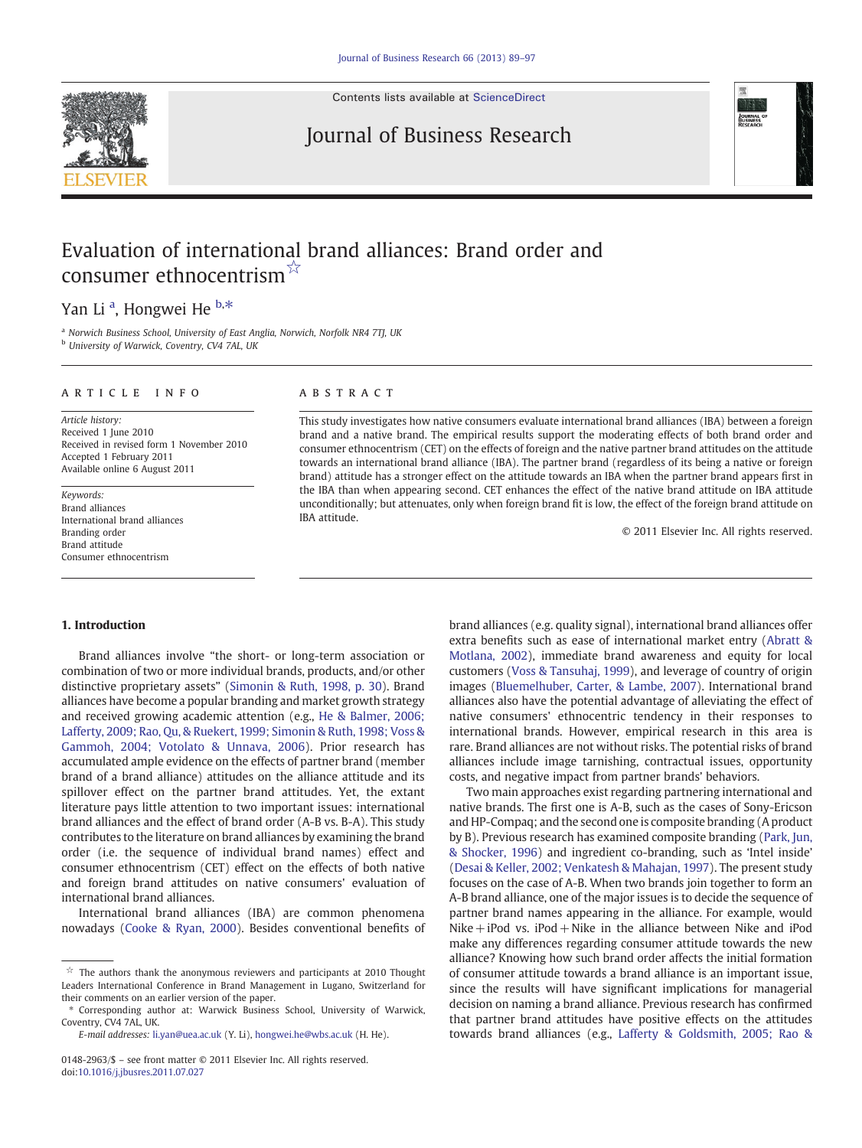Contents lists available at [ScienceDirect](http://www.sciencedirect.com/science/journal/01482963)

Journal of Business Research



## Evaluation of international brand alliances: Brand order and consumer ethnocentrism $\mathbb{X}$

## Yan Li <sup>a</sup>, Hongwei He <sup>b,\*</sup>

<sup>a</sup> Norwich Business School, University of East Anglia, Norwich, Norfolk NR4 7TJ, UK <sup>b</sup> University of Warwick, Coventry, CV4 7AL, UK

#### article info abstract

Article history: Received 1 June 2010 Received in revised form 1 November 2010 Accepted 1 February 2011 Available online 6 August 2011

Keywords: Brand alliances International brand alliances Branding order Brand attitude Consumer ethnocentrism

This study investigates how native consumers evaluate international brand alliances (IBA) between a foreign brand and a native brand. The empirical results support the moderating effects of both brand order and consumer ethnocentrism (CET) on the effects of foreign and the native partner brand attitudes on the attitude towards an international brand alliance (IBA). The partner brand (regardless of its being a native or foreign brand) attitude has a stronger effect on the attitude towards an IBA when the partner brand appears first in the IBA than when appearing second. CET enhances the effect of the native brand attitude on IBA attitude unconditionally; but attenuates, only when foreign brand fit is low, the effect of the foreign brand attitude on IBA attitude.

© 2011 Elsevier Inc. All rights reserved.

### 1. Introduction

Brand alliances involve "the short- or long-term association or combination of two or more individual brands, products, and/or other distinctive proprietary assets" ([Simonin & Ruth, 1998, p. 30\)](#page--1-0). Brand alliances have become a popular branding and market growth strategy and received growing academic attention (e.g., [He & Balmer, 2006;](#page--1-0) [Lafferty, 2009; Rao, Qu, & Ruekert, 1999; Simonin & Ruth, 1998; Voss &](#page--1-0) [Gammoh, 2004; Votolato & Unnava, 2006\)](#page--1-0). Prior research has accumulated ample evidence on the effects of partner brand (member brand of a brand alliance) attitudes on the alliance attitude and its spillover effect on the partner brand attitudes. Yet, the extant literature pays little attention to two important issues: international brand alliances and the effect of brand order (A-B vs. B-A). This study contributes to the literature on brand alliances by examining the brand order (i.e. the sequence of individual brand names) effect and consumer ethnocentrism (CET) effect on the effects of both native and foreign brand attitudes on native consumers' evaluation of international brand alliances.

International brand alliances (IBA) are common phenomena nowadays [\(Cooke & Ryan, 2000](#page--1-0)). Besides conventional benefits of brand alliances (e.g. quality signal), international brand alliances offer extra benefits such as ease of international market entry [\(Abratt &](#page--1-0) [Motlana, 2002\)](#page--1-0), immediate brand awareness and equity for local customers ([Voss & Tansuhaj, 1999](#page--1-0)), and leverage of country of origin images ([Bluemelhuber, Carter, & Lambe, 2007](#page--1-0)). International brand alliances also have the potential advantage of alleviating the effect of native consumers' ethnocentric tendency in their responses to international brands. However, empirical research in this area is rare. Brand alliances are not without risks. The potential risks of brand alliances include image tarnishing, contractual issues, opportunity costs, and negative impact from partner brands' behaviors.

Two main approaches exist regarding partnering international and native brands. The first one is A-B, such as the cases of Sony-Ericson and HP-Compaq; and the second one is composite branding (A product by B). Previous research has examined composite branding [\(Park, Jun,](#page--1-0) [& Shocker, 1996\)](#page--1-0) and ingredient co-branding, such as 'Intel inside' [\(Desai & Keller, 2002; Venkatesh & Mahajan, 1997](#page--1-0)). The present study focuses on the case of A-B. When two brands join together to form an A-B brand alliance, one of the major issues is to decide the sequence of partner brand names appearing in the alliance. For example, would Nike+iPod vs. iPod+Nike in the alliance between Nike and iPod make any differences regarding consumer attitude towards the new alliance? Knowing how such brand order affects the initial formation of consumer attitude towards a brand alliance is an important issue, since the results will have significant implications for managerial decision on naming a brand alliance. Previous research has confirmed that partner brand attitudes have positive effects on the attitudes towards brand alliances (e.g., [Lafferty & Goldsmith, 2005; Rao &](#page--1-0)

The authors thank the anonymous reviewers and participants at 2010 Thought Leaders International Conference in Brand Management in Lugano, Switzerland for their comments on an earlier version of the paper.

<sup>⁎</sup> Corresponding author at: Warwick Business School, University of Warwick, Coventry, CV4 7AL, UK.

E-mail addresses: [li.yan@uea.ac.uk](mailto:li.yan@uea.ac.uk) (Y. Li), [hongwei.he@wbs.ac.uk](mailto:hongwei.he@wbs.ac.uk) (H. He).

<sup>0148-2963/\$</sup> – see front matter © 2011 Elsevier Inc. All rights reserved. doi:[10.1016/j.jbusres.2011.07.027](http://dx.doi.org/10.1016/j.jbusres.2011.07.027)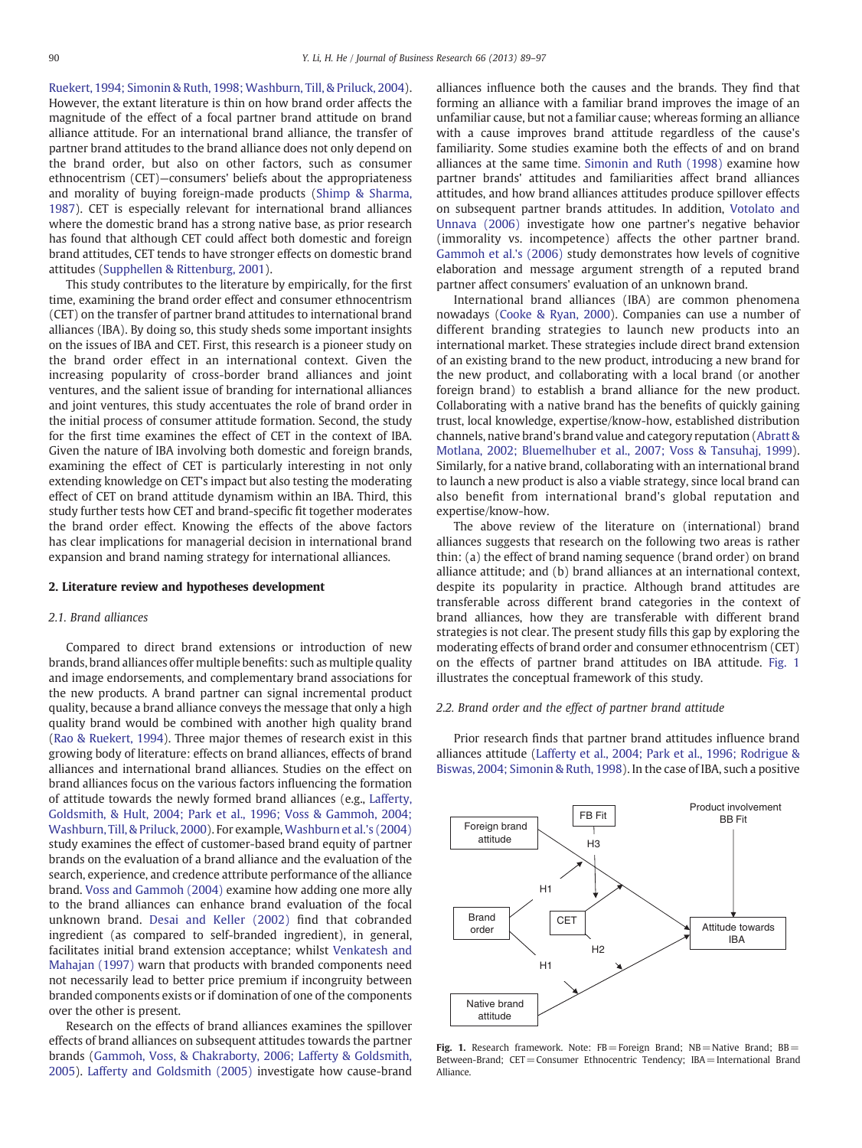[Ruekert, 1994; Simonin & Ruth, 1998; Washburn, Till, & Priluck, 2004](#page--1-0)). However, the extant literature is thin on how brand order affects the magnitude of the effect of a focal partner brand attitude on brand alliance attitude. For an international brand alliance, the transfer of partner brand attitudes to the brand alliance does not only depend on the brand order, but also on other factors, such as consumer ethnocentrism (CET)—consumers' beliefs about the appropriateness and morality of buying foreign-made products ([Shimp & Sharma,](#page--1-0) [1987\)](#page--1-0). CET is especially relevant for international brand alliances where the domestic brand has a strong native base, as prior research has found that although CET could affect both domestic and foreign brand attitudes, CET tends to have stronger effects on domestic brand attitudes ([Supphellen & Rittenburg, 2001](#page--1-0)).

This study contributes to the literature by empirically, for the first time, examining the brand order effect and consumer ethnocentrism (CET) on the transfer of partner brand attitudes to international brand alliances (IBA). By doing so, this study sheds some important insights on the issues of IBA and CET. First, this research is a pioneer study on the brand order effect in an international context. Given the increasing popularity of cross-border brand alliances and joint ventures, and the salient issue of branding for international alliances and joint ventures, this study accentuates the role of brand order in the initial process of consumer attitude formation. Second, the study for the first time examines the effect of CET in the context of IBA. Given the nature of IBA involving both domestic and foreign brands, examining the effect of CET is particularly interesting in not only extending knowledge on CET's impact but also testing the moderating effect of CET on brand attitude dynamism within an IBA. Third, this study further tests how CET and brand-specific fit together moderates the brand order effect. Knowing the effects of the above factors has clear implications for managerial decision in international brand expansion and brand naming strategy for international alliances.

#### 2. Literature review and hypotheses development

### 2.1. Brand alliances

Compared to direct brand extensions or introduction of new brands, brand alliances offer multiple benefits: such as multiple quality and image endorsements, and complementary brand associations for the new products. A brand partner can signal incremental product quality, because a brand alliance conveys the message that only a high quality brand would be combined with another high quality brand [\(Rao & Ruekert, 1994\)](#page--1-0). Three major themes of research exist in this growing body of literature: effects on brand alliances, effects of brand alliances and international brand alliances. Studies on the effect on brand alliances focus on the various factors influencing the formation of attitude towards the newly formed brand alliances (e.g., [Lafferty,](#page--1-0) [Goldsmith, & Hult, 2004; Park et al., 1996; Voss & Gammoh, 2004;](#page--1-0) [Washburn, Till, & Priluck, 2000\)](#page--1-0). For example, [Washburn et al.'s \(2004\)](#page--1-0) study examines the effect of customer-based brand equity of partner brands on the evaluation of a brand alliance and the evaluation of the search, experience, and credence attribute performance of the alliance brand. [Voss and Gammoh \(2004\)](#page--1-0) examine how adding one more ally to the brand alliances can enhance brand evaluation of the focal unknown brand. [Desai and Keller \(2002\)](#page--1-0) find that cobranded ingredient (as compared to self-branded ingredient), in general, facilitates initial brand extension acceptance; whilst [Venkatesh and](#page--1-0) [Mahajan \(1997\)](#page--1-0) warn that products with branded components need not necessarily lead to better price premium if incongruity between branded components exists or if domination of one of the components over the other is present.

Research on the effects of brand alliances examines the spillover effects of brand alliances on subsequent attitudes towards the partner brands [\(Gammoh, Voss, & Chakraborty, 2006; Lafferty & Goldsmith,](#page--1-0) [2005\)](#page--1-0). [Lafferty and Goldsmith \(2005\)](#page--1-0) investigate how cause-brand alliances influence both the causes and the brands. They find that forming an alliance with a familiar brand improves the image of an unfamiliar cause, but not a familiar cause; whereas forming an alliance with a cause improves brand attitude regardless of the cause's familiarity. Some studies examine both the effects of and on brand alliances at the same time. [Simonin and Ruth \(1998\)](#page--1-0) examine how partner brands' attitudes and familiarities affect brand alliances attitudes, and how brand alliances attitudes produce spillover effects on subsequent partner brands attitudes. In addition, [Votolato and](#page--1-0) [Unnava \(2006\)](#page--1-0) investigate how one partner's negative behavior (immorality vs. incompetence) affects the other partner brand. [Gammoh et al.'s \(2006\)](#page--1-0) study demonstrates how levels of cognitive elaboration and message argument strength of a reputed brand partner affect consumers' evaluation of an unknown brand.

International brand alliances (IBA) are common phenomena nowadays [\(Cooke & Ryan, 2000\)](#page--1-0). Companies can use a number of different branding strategies to launch new products into an international market. These strategies include direct brand extension of an existing brand to the new product, introducing a new brand for the new product, and collaborating with a local brand (or another foreign brand) to establish a brand alliance for the new product. Collaborating with a native brand has the benefits of quickly gaining trust, local knowledge, expertise/know-how, established distribution channels, native brand's brand value and category reputation [\(Abratt &](#page--1-0) [Motlana, 2002; Bluemelhuber et al., 2007; Voss & Tansuhaj, 1999](#page--1-0)). Similarly, for a native brand, collaborating with an international brand to launch a new product is also a viable strategy, since local brand can also benefit from international brand's global reputation and expertise/know-how.

The above review of the literature on (international) brand alliances suggests that research on the following two areas is rather thin: (a) the effect of brand naming sequence (brand order) on brand alliance attitude; and (b) brand alliances at an international context, despite its popularity in practice. Although brand attitudes are transferable across different brand categories in the context of brand alliances, how they are transferable with different brand strategies is not clear. The present study fills this gap by exploring the moderating effects of brand order and consumer ethnocentrism (CET) on the effects of partner brand attitudes on IBA attitude. Fig. 1 illustrates the conceptual framework of this study.

#### 2.2. Brand order and the effect of partner brand attitude

Prior research finds that partner brand attitudes influence brand alliances attitude [\(Lafferty et al., 2004; Park et al., 1996; Rodrigue &](#page--1-0) [Biswas, 2004; Simonin & Ruth, 1998](#page--1-0)). In the case of IBA, such a positive



Fig. 1. Research framework. Note:  $FB =$  Foreign Brand;  $NB =$  Native Brand;  $BB =$ Between-Brand; CET = Consumer Ethnocentric Tendency; IBA = International Brand Alliance.